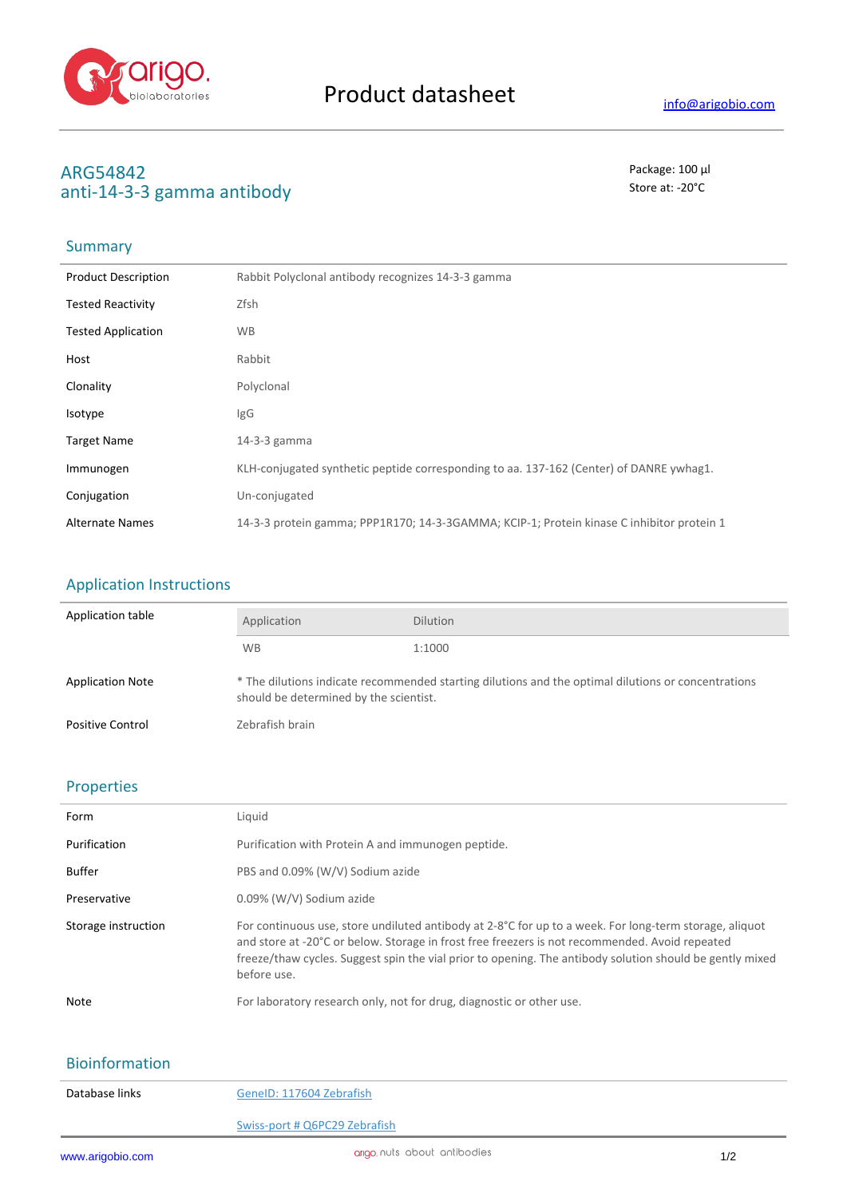

# **ARG54842** Package: 100 μl<br>
anti-14-3-3 σamma antibody anti-14-3-3 gamma antibody

## **Summary**

| <b>Product Description</b> | Rabbit Polyclonal antibody recognizes 14-3-3 gamma                                        |
|----------------------------|-------------------------------------------------------------------------------------------|
| <b>Tested Reactivity</b>   | Zfsh                                                                                      |
| <b>Tested Application</b>  | <b>WB</b>                                                                                 |
| Host                       | Rabbit                                                                                    |
| Clonality                  | Polyclonal                                                                                |
| Isotype                    | IgG                                                                                       |
| <b>Target Name</b>         | $14-3-3$ gamma                                                                            |
| Immunogen                  | KLH-conjugated synthetic peptide corresponding to aa. 137-162 (Center) of DANRE ywhag1.   |
| Conjugation                | Un-conjugated                                                                             |
| <b>Alternate Names</b>     | 14-3-3 protein gamma; PPP1R170; 14-3-3GAMMA; KCIP-1; Protein kinase C inhibitor protein 1 |

# Application Instructions

| Application table       | Application                                                                                                                                   | <b>Dilution</b> |
|-------------------------|-----------------------------------------------------------------------------------------------------------------------------------------------|-----------------|
|                         | <b>WB</b>                                                                                                                                     | 1:1000          |
| <b>Application Note</b> | * The dilutions indicate recommended starting dilutions and the optimal dilutions or concentrations<br>should be determined by the scientist. |                 |
| <b>Positive Control</b> | Zebrafish brain                                                                                                                               |                 |

### Properties

| Form                | Liquid                                                                                                                                                                                                                                                                                                                              |
|---------------------|-------------------------------------------------------------------------------------------------------------------------------------------------------------------------------------------------------------------------------------------------------------------------------------------------------------------------------------|
| Purification        | Purification with Protein A and immunogen peptide.                                                                                                                                                                                                                                                                                  |
| <b>Buffer</b>       | PBS and 0.09% (W/V) Sodium azide                                                                                                                                                                                                                                                                                                    |
| Preservative        | 0.09% (W/V) Sodium azide                                                                                                                                                                                                                                                                                                            |
| Storage instruction | For continuous use, store undiluted antibody at 2-8°C for up to a week. For long-term storage, aliquot<br>and store at -20°C or below. Storage in frost free freezers is not recommended. Avoid repeated<br>freeze/thaw cycles. Suggest spin the vial prior to opening. The antibody solution should be gently mixed<br>before use. |
| Note                | For laboratory research only, not for drug, diagnostic or other use.                                                                                                                                                                                                                                                                |

### Bioinformation

| Database links | GenelD: 117604 Zebrafish      |
|----------------|-------------------------------|
|                | Swiss-port # Q6PC29 Zebrafish |